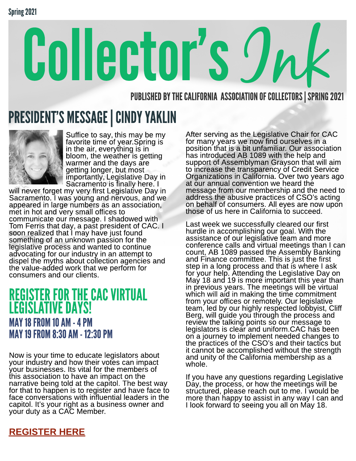# Collector's Jnk

PUBLISHED BY THE CALIFORNIA ASSOCIATION OF COLLECTORS SPRING 2021

## PRESIDENT'S MESSAGE | CINDY YAKLIN



Suffice to say, this may be my favorite time of year.Spring is in the air, everything is in bloom, the weather is getting warmer and the days are getting longer, but most importantly, Legislative Day in Sacramento is finally here. I

will never forget my very first Legislative Day in Sacramento. I was young and nervous, and we appeared in large numbers as an association, met in hot and very small offices to communicate our message. I shadowed with Tom Ferris that day, a past president of CAC. I soon realized that I may have just found something of an unknown passion for the legislative process and wanted to continue advocating for our industry in an attempt to dispel the myths about collection agencies and the value-added work that we perform for consumers and our clients.

### REGISTER FOR THE CAC VIRTUAL LEGISLATIVE DAYS! MAY18FROM10AM-4PM MAY19FROM8:30AM-12:30PM

Now is your time to educate legislators about your industry and how their votes can impact your businesses. Its vital for the members of this association to have an impact on the narrative being told at the capitol. The best way for that to happen is to register and have face to face conversations with influential leaders in the capitol. It?s your right as a business owner and your duty as a CAC Member.

After serving as the Legislative Chair for CAC for many years we now find ourselves in a position that is a bit unfamiliar. Our association has introduced AB 1089 with the help and support of Assemblyman Grayson that will aim to increase the transparency of Credit Service Organizations in California. Over two years ago at our annual convention we heard the message from our membership and the need to address the abusive practices of CSO?s acting on behalf of consumers. All eyes are now upon those of us here in California to succeed.

Last week we successfully cleared our first hurdle in accomplishing our goal. With the assistance of our legislative team and more conference calls and virtual meetings than I can count, AB 1089 passed the Assembly Banking and Finance committee. This is just the first step in a long process and that is where I ask for your help. Attending the Legislative Day on May 18 and 19 is more important this year than in previous years. The meetings will be virtual which will aid in making the time commitment from your offices or remotely. Our legislative team, led by our highly respected lobbyist, Cliff Berg, will guide you through the process and review the talking points so our message to legislators is clear and uniform.CAC has been on a journey to implement needed changes to the practices of the CSO?s and their tactics but it cannot be accomplished without the strength and unity of the California membership as a whole.

If you have any questions regarding Legislative Day, the process, or how the meetings will be structured, please reach out to me. I would be more than happy to assist in any way I can and I look forward to seeing you all on May 18.

#### [REGISTER](https://www.calcollectors.net/events/meetingconf.asp) [HERE](https://www.calcollectors.net/events/meetingconf.asp)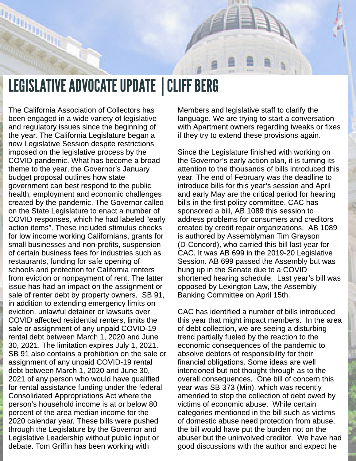

## LEGISLATIVE ADVOCATE UPDATE | CLIFF BERG

The California Association of Collectors has been engaged in a wide variety of legislative and regulatory issues since the beginning of the year. The California Legislature began a new Legislative Session despite restrictions imposed on the legislative process by the COVID pandemic. What has become a broad theme to the year, the Governor's January budget proposal outlines how state government can best respond to the public health, employment and economic challenges created by the pandemic. The Governor called on the State Legislature to enact a number of COVID responses, which he had labeled "early action items?. These included stimulus checks for low income working Californians, grants for small businesses and non-profits, suspension of certain business fees for industries such as restaurants, funding for safe opening of schools and protection for California renters from eviction or nonpayment of rent. The latter issue has had an impact on the assignment or sale of renter debt by property owners. SB 91, in addition to extending emergency limits on eviction, unlawful detainer or lawsuits over COVID affected residential renters, limits the sale or assignment of any unpaid COVID-19 rental debt between March 1, 2020 and June 30, 2021. The limitation expires July 1, 2021. SB 91 also contains a prohibition on the sale or assignment of any unpaid COVID-19 rental debt between March 1, 2020 and June 30, 2021 of any person who would have qualified for rental assistance funding under the federal Consolidated Appropriations Act where the person?s household income is at or below 80 percent of the area median income for the 2020 calendar year. These bills were pushed through the Legislature by the Governor and Legislative Leadership without public input or debate. Tom Griffin has been working with

Members and legislative staff to clarify the language. We are trying to start a conversation with Apartment owners regarding tweaks or fixes if they try to extend these provisions again.

Since the Legislature finished with working on the Governor?s early action plan, it is turning its attention to the thousands of bills introduced this year. The end of February was the deadline to introduce bills for this year's session and April and early May are the critical period for hearing bills in the first policy committee. CAC has sponsored a bill, AB 1089 this session to address problems for consumers and creditors created by credit repair organizations. AB 1089 is authored by Assemblyman Tim Grayson (D-Concord), who carried this bill last year for CAC. It was AB 699 in the 2019-20 Legislative Session. AB 699 passed the Assembly but was hung up in the Senate due to a COVID shortened hearing schedule. Last year's bill was opposed by Lexington Law, the Assembly Banking Committee on April 15th.

CAC has identified a number of bills introduced this year that might impact members. In the area of debt collection, we are seeing a disturbing trend partially fueled by the reaction to the economic consequences of the pandemic to absolve debtors of responsibility for their financial obligations. Some ideas are well intentioned but not thought through as to the overall consequences. One bill of concern this year was SB 373 (Min), which was recently amended to stop the collection of debt owed by victims of economic abuse. While certain categories mentioned in the bill such as victims of domestic abuse need protection from abuse, the bill would have put the burden not on the abuser but the uninvolved creditor. We have had good discussions with the author and expect he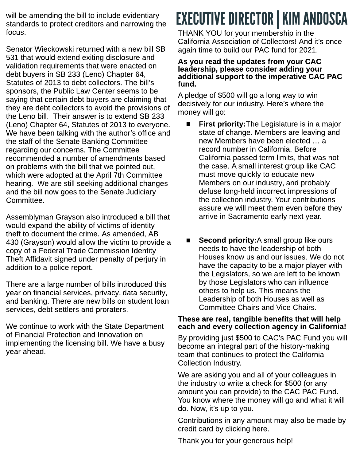will be amending the bill to include evidentiary standards to protect creditors and narrowing the focus.

Senator Wieckowski returned with a new bill SB 531 that would extend exiting disclosure and validation requirements that were enacted on debt buyers in SB 233 (Leno) Chapter 64, Statutes of 2013 to debt collectors. The bill?s sponsors, the Public Law Center seems to be saying that certain debt buyers are claiming that they are debt collectors to avoid the provisions of the Leno bill. Their answer is to extend SB 233 (Leno) Chapter 64, Statutes of 2013 to everyone. We have been talking with the author's office and the staff of the Senate Banking Committee regarding our concerns. The Committee recommended a number of amendments based on problems with the bill that we pointed out, which were adopted at the April 7th Committee hearing. We are still seeking additional changes and the bill now goes to the Senate Judiciary Committee.

Assemblyman Grayson also introduced a bill that would expand the ability of victims of identity theft to document the crime. As amended, AB 430 (Grayson) would allow the victim to provide a copy of a Federal Trade Commission Identity Theft Affidavit signed under penalty of perjury in addition to a police report.

There are a large number of bills introduced this year on financial services, privacy, data security, and banking. There are new bills on student loan services, debt settlers and proraters.

We continue to work with the State Department of Financial Protection and Innovation on implementing the licensing bill. We have a busy year ahead.

# EXECUTIVE DIRECTOR | KIM ANDOSCA

THANK YOU for your membership in the California Association of Collectors! And it?s once again time to build our PAC fund for 2021.

#### As you read the updates from your CAC leadership, please consider adding your additional support to the imperative CAC PAC fund.

A pledge of \$500 will go a long way to win decisively for our industry. Here?s where the money will go:

- **First priority:**The Legislature is in a major state of change. Members are leaving and new Members have been elected ... a record number in California. Before California passed term limits, that was not the case. A small interest group like CAC must move quickly to educate new Members on our industry, and probably defuse long-held incorrect impressions of the collection industry. Your contributions assure we will meet them even before they arrive in Sacramento early next year.
- $\blacksquare$  Second priority: A small group like ours needs to have the leadership of both Houses know us and our issues. We do not have the capacity to be a major player with the Legislators, so we are left to be known by those Legislators who can influence others to help us. This means the Leadership of both Houses as well as Committee Chairs and Vice Chairs.

#### These are real, tangible benefits that will help each and every collection agency in California!

By providing just \$500 to CAC's PAC Fund you will become an integral part of the history-making team that continues to protect the California Collection Industry.

We are asking you and all of your colleagues in the industry to write a check for \$500 (or any amount you can provide) to the CAC PAC Fund. You know where the money will go and what it will do. Now, it?s up to you.

Contributions in any amount may also be made by credit card by [clicking](https://www.efundraisingconnections.com/c/CalifAssoofCollectorsPAC/) [here.](https://www.efundraisingconnections.com/c/CalifAssoofCollectorsPAC/)

Thank you for your generous help!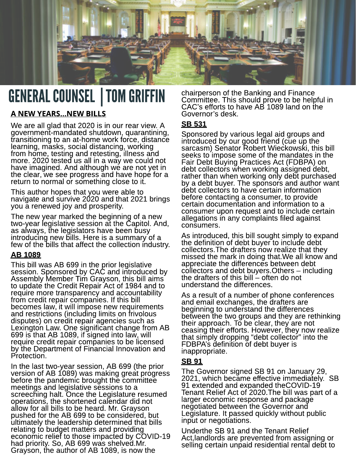

## GENERAL COUNSEL | TOM GRIFFIN

#### A NEW YEARS...NEW BILLS

We are all glad that 2020 is in our rear view. A government-mandated shutdown, quarantining, transitioning to an at-home work force, distance learning, masks, social distancing, working from home, testing and retesting, illness and more. 2020 tested us all in a way we could not have imagined. And although we are not yet in the clear, we see progress and have hope for a return to normal or something close to it.

This author hopes that you were able to navigate and survive 2020 and that 2021 brings you a renewed joy and prosperity.

The new year marked the beginning of a new two-year legislative session at the Capitol. And, as always, the legislators have been busy introducing new bills. Here is a summary of a few of the bills that affect the collection industry.

#### AB 1089

This bill was AB 699 in the prior legislative session. Sponsored by CAC and introduced by Assembly Member Tim Grayson, this bill aims to update the Credit Repair Act of 1984 and to require more transparency and accountability from credit repair companies. If this bill becomes law, it will impose new requirements and restrictions (including limits on frivolous disputes) on credit repair agencies such as Lexington Law. One significant change from AB 699 is that AB 1089, if signed into law, will require credit repair companies to be licensed by the Department of Financial Innovation and Protection.

In the last two-year session, AB 699 (the prior version of AB 1089) was making great progress before the pandemic brought the committee meetings and legislative sessions to a screeching halt. Once the Legislature resumed operations, the shortened calendar did not allow for all bills to be heard. Mr. Grayson pushed for the AB 699 to be considered, but ultimately the leadership determined that bills relating to budget matters and providing economic relief to those impacted by COVID-19 had priority. So, AB 699 was shelved.Mr. Grayson, the author of AB 1089, is now the

chairperson of the Banking and Finance Committee. This should prove to be helpful in CAC?s efforts to have AB 1089 land on the Governor?s desk.

#### SB 531

Sponsored by various legal aid groups and introduced by our good friend (cue up the sarcasm) Senator Robert Wieckowski, this bill seeks to impose some of the mandates in the Fair Debt Buying Practices Act (FDBPA) on debt collectors when working assigned debt, rather than when working only debt purchased by a debt buyer. The sponsors and author want debt collectors to have certain information before contacting a consumer, to provide certain documentation and information to a consumer upon request and to include certain allegations in any complaints filed against consumers.

As introduced, this bill sought simply to expand the definition of debt buyer to include debt collectors.The drafters now realize that they missed the mark in doing that.We all know and appreciate the differences between debt collectors and debt buyers. Others – including the drafters of this bill  $-$  often do not understand the differences.

As a result of a number of phone conferences and email exchanges, the drafters are beginning to understand the differences between the two groups and they are rethinking their approach. To be clear, they are not ceasing their efforts. However, they now realize that simply dropping "debt collector" into the FDBPA?s definition of debt buyer is inappropriate.

#### SB 91

The Governor signed SB 91 on January 29, 2021, which became effective immediately. SB 91 extended and expanded theCOVID-19 Tenant Relief Act of 2020.The bill was part of a larger economic response and package negotiated between the Governor and Legislature. It passed quickly without public input or negotiations.

Underthe SB 91 and the Tenant Relief Act,landlords are prevented from assigning or selling certain unpaid residential rental debt to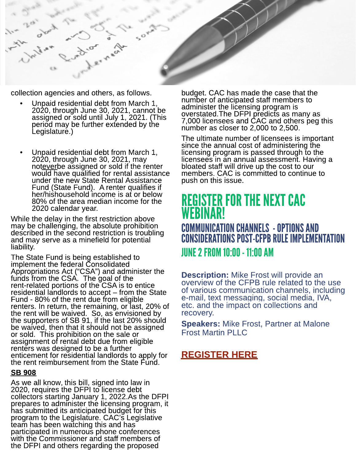

collection agencies and others, as follows.

- Unpaid residential debt from March 1, 2020, through June 30, 2021, cannot be assigned or sold until July 1, 2021. (This period may be further extended by the Legislature.)
- Unpaid residential debt from March 1, 2020, through June 30, 2021, may noteverbe assigned or sold if the renter would have qualified for rental assistance under the new State Rental Assistance Fund (State Fund). A renter qualifies if her/hishousehold income is at or below 80% of the area median income for the 2020 calendar year.

While the delay in the first restriction above may be challenging, the absolute prohibition described in the second restriction is troubling and may serve as a minefield for potential liability.

The State Fund is being established to implement the federal Consolidated Appropriations Act ("CSA") and administer the funds from the CSA. The goal of the rent-related portions of the CSA is to entice residential landlords to accept – from the State Fund - 80% of the rent due from eligible renters. In return, the remaining, or last, 20% of the rent will be waived. So, as envisioned by the supporters of SB 91, if the last 20% should be waived, then that it should not be assigned or sold. This prohibition on the sale or assignment of rental debt due from eligible renters was designed to be a further enticement for residential landlords to apply for the rent reimbursement from the State Fund.

#### SB 908

As we all know, this bill, signed into law in 2020, requires the DFPI to license debt collectors starting January 1, 2022.As the DFPI prepares to administer the licensing program, it has submitted its anticipated budget for this program to the Legislature. CAC's Legislative team has been watching this and has participated in numerous phone conferences with the Commissioner and staff members of the DFPI and others regarding the proposed

budget. CAC has made the case that the number of anticipated staff members to administer the licensing program is overstated.The DFPI predicts as many as 7,000 licensees and CAC and others peg this number as closer to 2,000 to 2,500.

The ultimate number of licensees is important since the annual cost of administering the licensing program is passed through to the licensees in an annual assessment. Having a bloated staff will drive up the cost to our members. CAC is committed to continue to push on this issue.

## **REGISTER FOR THE NEXT CAC** WEBINAR!

COMMUNICATION CHANNELS - OPTIONS AND CONSIDERATIONS POST-CFPB RULE IMPLEMENTATION JUNE2FROM10:00-11:00AM

**Description:** Mike Frost will provide an overview of the CFPB rule related to the use of various communication channels, including e-mail, text messaging, social media, IVA, etc. and the impact on collections and recovery.

**Speakers: Mike Frost, Partner at Malone** Frost Martin PLLC

#### [REGISTER](https://californiacollectorscaassoc.wliinc31.com/events/Webinar-June-2-2021-83/details) [HERE](https://californiacollectorscaassoc.wliinc31.com/events/Webinar-June-2-2021-83/details)